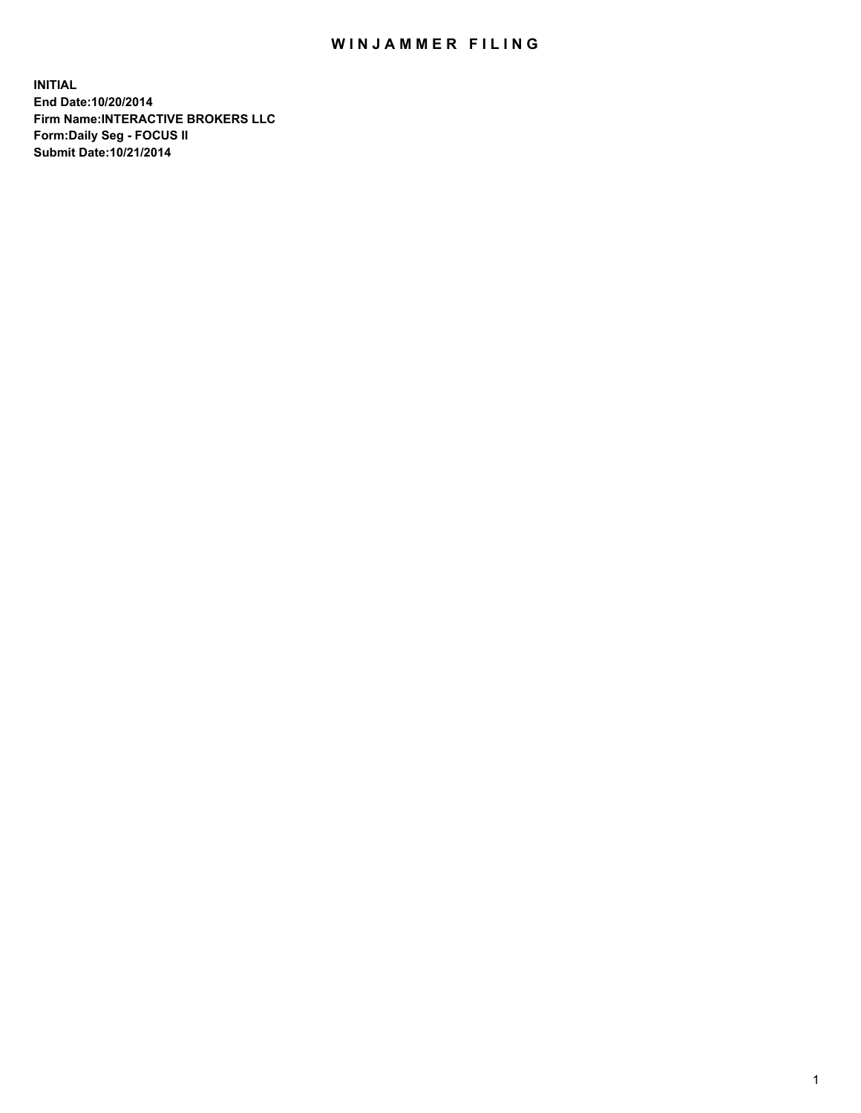## WIN JAMMER FILING

**INITIAL End Date:10/20/2014 Firm Name:INTERACTIVE BROKERS LLC Form:Daily Seg - FOCUS II Submit Date:10/21/2014**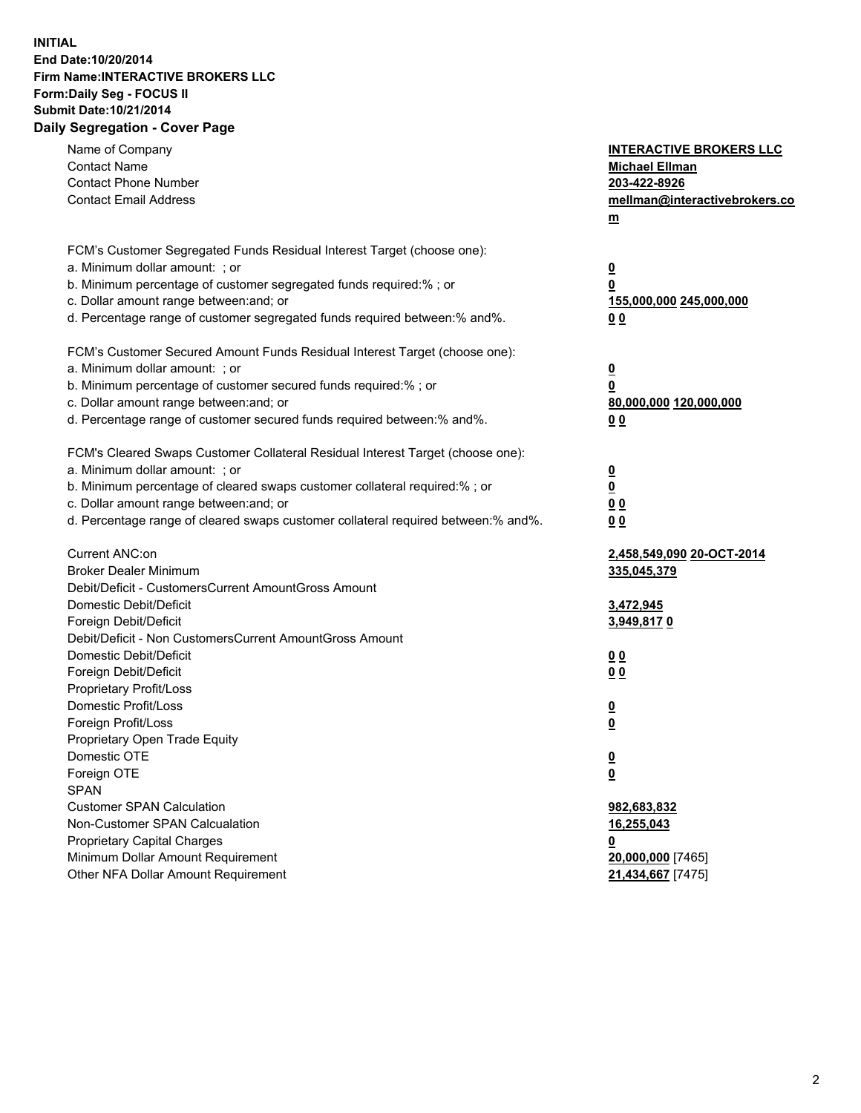## **INITIAL End Date:10/20/2014 Firm Name:INTERACTIVE BROKERS LLC Form:Daily Seg - FOCUS II Submit Date:10/21/2014 Daily Segregation - Cover Page**

| Name of Company<br><b>Contact Name</b><br><b>Contact Phone Number</b><br><b>Contact Email Address</b>                                                                                                                                                                                                                          | <b>INTERACTIVE BROKERS LLC</b><br><b>Michael Ellman</b><br>203-422-8926<br>mellman@interactivebrokers.co<br>$\underline{\mathbf{m}}$ |
|--------------------------------------------------------------------------------------------------------------------------------------------------------------------------------------------------------------------------------------------------------------------------------------------------------------------------------|--------------------------------------------------------------------------------------------------------------------------------------|
| FCM's Customer Segregated Funds Residual Interest Target (choose one):<br>a. Minimum dollar amount: ; or<br>b. Minimum percentage of customer segregated funds required:% ; or<br>c. Dollar amount range between: and; or<br>d. Percentage range of customer segregated funds required between:% and%.                         | <u>0</u><br>0<br><u>155,000,000 245,000,000</u><br>00                                                                                |
| FCM's Customer Secured Amount Funds Residual Interest Target (choose one):<br>a. Minimum dollar amount: ; or<br>b. Minimum percentage of customer secured funds required:% ; or<br>c. Dollar amount range between: and; or<br>d. Percentage range of customer secured funds required between:% and%.                           | <u>0</u><br>0<br>80,000,000 120,000,000<br>0 <sub>0</sub>                                                                            |
| FCM's Cleared Swaps Customer Collateral Residual Interest Target (choose one):<br>a. Minimum dollar amount: ; or<br>b. Minimum percentage of cleared swaps customer collateral required:% ; or<br>c. Dollar amount range between: and; or<br>d. Percentage range of cleared swaps customer collateral required between:% and%. | $\overline{\mathbf{0}}$<br>0<br>0 <sub>0</sub><br>0 <sub>0</sub>                                                                     |
| Current ANC:on<br><b>Broker Dealer Minimum</b><br>Debit/Deficit - CustomersCurrent AmountGross Amount<br>Domestic Debit/Deficit<br>Foreign Debit/Deficit                                                                                                                                                                       | 2,458,549,090 20-OCT-2014<br>335,045,379<br>3,472,945<br>3,949,8170                                                                  |
| Debit/Deficit - Non CustomersCurrent AmountGross Amount<br>Domestic Debit/Deficit<br>Foreign Debit/Deficit<br>Proprietary Profit/Loss<br>Domestic Profit/Loss<br>Foreign Profit/Loss                                                                                                                                           | 0 <sub>0</sub><br>0 <sub>0</sub><br><u>0</u><br>$\underline{\mathbf{0}}$                                                             |
| Proprietary Open Trade Equity<br>Domestic OTE<br>Foreign OTE<br><b>SPAN</b><br><b>Customer SPAN Calculation</b><br>Non-Customer SPAN Calcualation                                                                                                                                                                              | <u>0</u><br><u>0</u><br>982,683,832<br>16,255,043                                                                                    |
| <b>Proprietary Capital Charges</b><br>Minimum Dollar Amount Requirement<br>Other NFA Dollar Amount Requirement                                                                                                                                                                                                                 | <u>0</u><br>20,000,000 [7465]<br>21,434,667 [7475]                                                                                   |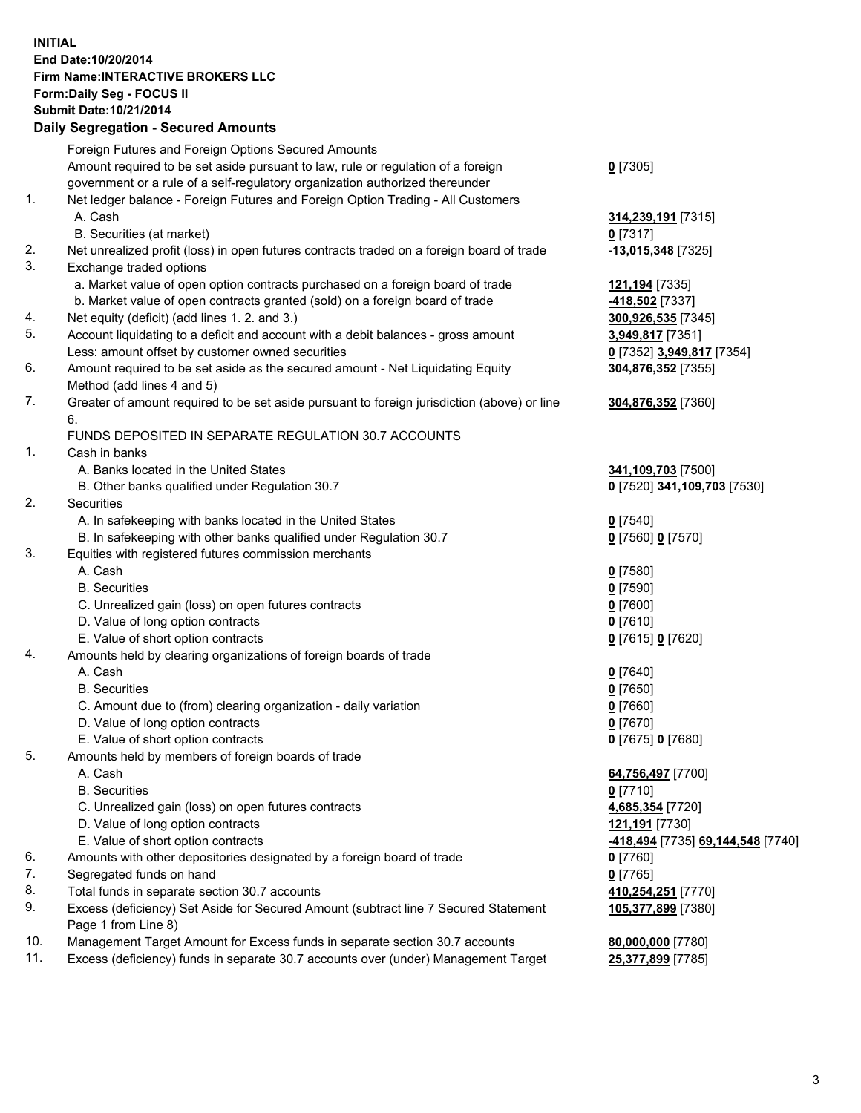## **INITIAL End Date:10/20/2014 Firm Name:INTERACTIVE BROKERS LLC Form:Daily Seg - FOCUS II Submit Date:10/21/2014 Daily Segregation - Secured Amounts**

|                | Daily Jegregation - Jeculed Aniounts                                                                       |                                   |
|----------------|------------------------------------------------------------------------------------------------------------|-----------------------------------|
|                | Foreign Futures and Foreign Options Secured Amounts                                                        |                                   |
|                | Amount required to be set aside pursuant to law, rule or regulation of a foreign                           | $0$ [7305]                        |
|                | government or a rule of a self-regulatory organization authorized thereunder                               |                                   |
| 1.             | Net ledger balance - Foreign Futures and Foreign Option Trading - All Customers                            |                                   |
|                | A. Cash                                                                                                    | 314,239,191 [7315]                |
|                | B. Securities (at market)                                                                                  | $0$ [7317]                        |
| 2.             | Net unrealized profit (loss) in open futures contracts traded on a foreign board of trade                  | -13,015,348 [7325]                |
| 3.             | Exchange traded options                                                                                    |                                   |
|                | a. Market value of open option contracts purchased on a foreign board of trade                             | <u>121,194</u> [7335]             |
|                | b. Market value of open contracts granted (sold) on a foreign board of trade                               | -418,502 <sup>[7337]</sup>        |
| 4.             | Net equity (deficit) (add lines 1. 2. and 3.)                                                              | 300,926,535 [7345]                |
| 5.             | Account liquidating to a deficit and account with a debit balances - gross amount                          | 3,949,817 [7351]                  |
|                | Less: amount offset by customer owned securities                                                           | 0 [7352] 3,949,817 [7354]         |
| 6.             | Amount required to be set aside as the secured amount - Net Liquidating Equity                             | 304,876,352 [7355]                |
|                | Method (add lines 4 and 5)                                                                                 |                                   |
| 7.             | Greater of amount required to be set aside pursuant to foreign jurisdiction (above) or line                | 304,876,352 [7360]                |
|                | 6.                                                                                                         |                                   |
|                | FUNDS DEPOSITED IN SEPARATE REGULATION 30.7 ACCOUNTS                                                       |                                   |
| $\mathbf{1}$ . | Cash in banks                                                                                              |                                   |
|                | A. Banks located in the United States                                                                      | 341,109,703 [7500]                |
|                | B. Other banks qualified under Regulation 30.7                                                             | 0 [7520] 341,109,703 [7530]       |
| 2.             | Securities                                                                                                 |                                   |
|                | A. In safekeeping with banks located in the United States                                                  | $0$ [7540]                        |
|                | B. In safekeeping with other banks qualified under Regulation 30.7                                         | 0 [7560] 0 [7570]                 |
| 3.             | Equities with registered futures commission merchants                                                      |                                   |
|                | A. Cash                                                                                                    | $0$ [7580]                        |
|                | <b>B.</b> Securities                                                                                       | $0$ [7590]                        |
|                | C. Unrealized gain (loss) on open futures contracts                                                        | $0$ [7600]                        |
|                | D. Value of long option contracts                                                                          | $0$ [7610]                        |
|                | E. Value of short option contracts                                                                         | 0 [7615] 0 [7620]                 |
| 4.             | Amounts held by clearing organizations of foreign boards of trade                                          |                                   |
|                | A. Cash                                                                                                    | $0$ [7640]                        |
|                | <b>B.</b> Securities                                                                                       | $0$ [7650]                        |
|                | C. Amount due to (from) clearing organization - daily variation                                            | $0$ [7660]                        |
|                | D. Value of long option contracts                                                                          | $0$ [7670]                        |
|                | E. Value of short option contracts                                                                         | 0 [7675] 0 [7680]                 |
| 5.             | Amounts held by members of foreign boards of trade                                                         |                                   |
|                | A. Cash                                                                                                    | 64,756,497 [7700]                 |
|                | <b>B.</b> Securities                                                                                       | $0$ [7710]                        |
|                | C. Unrealized gain (loss) on open futures contracts                                                        | 4,685,354 [7720]                  |
|                | D. Value of long option contracts                                                                          | 121,191 [7730]                    |
|                | E. Value of short option contracts                                                                         | -418,494 [7735] 69,144,548 [7740] |
| 6.             | Amounts with other depositories designated by a foreign board of trade                                     | $0$ [7760]                        |
| 7.             | Segregated funds on hand                                                                                   | $0$ [7765]                        |
| 8.             | Total funds in separate section 30.7 accounts                                                              | 410,254,251 [7770]                |
| 9.             | Excess (deficiency) Set Aside for Secured Amount (subtract line 7 Secured Statement<br>Page 1 from Line 8) | 105,377,899 [7380]                |
| 10.            | Management Target Amount for Excess funds in separate section 30.7 accounts                                | 80,000,000 [7780]                 |
| 11.            | Excess (deficiency) funds in separate 30.7 accounts over (under) Management Target                         | 25,377,899 [7785]                 |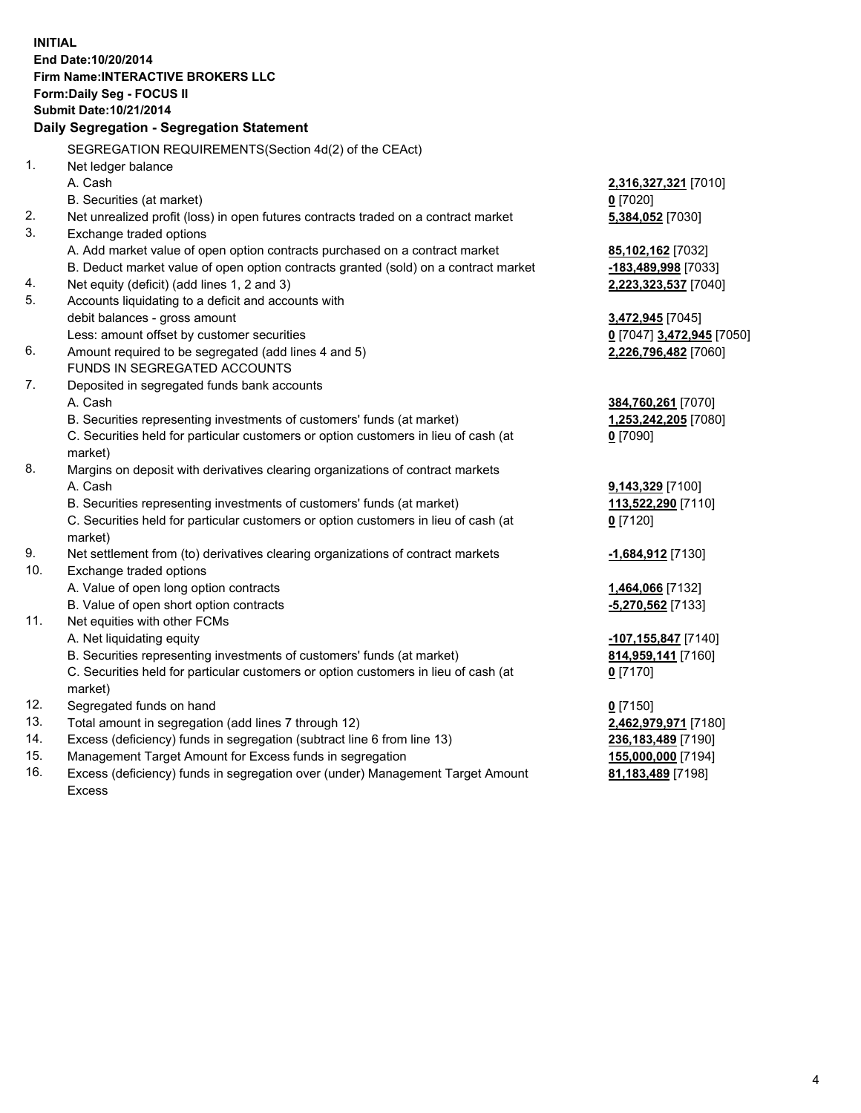**INITIAL End Date:10/20/2014 Firm Name:INTERACTIVE BROKERS LLC Form:Daily Seg - FOCUS II Submit Date:10/21/2014 Daily Segregation - Segregation Statement** SEGREGATION REQUIREMENTS(Section 4d(2) of the CEAct) 1. Net ledger balance A. Cash **2,316,327,321** [7010] B. Securities (at market) **0** [7020] 2. Net unrealized profit (loss) in open futures contracts traded on a contract market **5,384,052** [7030] 3. Exchange traded options A. Add market value of open option contracts purchased on a contract market **85,102,162** [7032] B. Deduct market value of open option contracts granted (sold) on a contract market **-183,489,998** [7033] 4. Net equity (deficit) (add lines 1, 2 and 3) **2,223,323,537** [7040] 5. Accounts liquidating to a deficit and accounts with debit balances - gross amount **3,472,945** [7045] Less: amount offset by customer securities **0** [7047] **3,472,945** [7050] 6. Amount required to be segregated (add lines 4 and 5) **2,226,796,482** [7060] FUNDS IN SEGREGATED ACCOUNTS 7. Deposited in segregated funds bank accounts A. Cash **384,760,261** [7070] B. Securities representing investments of customers' funds (at market) **1,253,242,205** [7080] C. Securities held for particular customers or option customers in lieu of cash (at market) **0** [7090] 8. Margins on deposit with derivatives clearing organizations of contract markets A. Cash **9,143,329** [7100] B. Securities representing investments of customers' funds (at market) **113,522,290** [7110] C. Securities held for particular customers or option customers in lieu of cash (at market) **0** [7120] 9. Net settlement from (to) derivatives clearing organizations of contract markets **-1,684,912** [7130] 10. Exchange traded options A. Value of open long option contracts **1,464,066** [7132] B. Value of open short option contracts **-5,270,562** [7133] 11. Net equities with other FCMs A. Net liquidating equity **-107,155,847** [7140] B. Securities representing investments of customers' funds (at market) **814,959,141** [7160] C. Securities held for particular customers or option customers in lieu of cash (at market) **0** [7170] 12. Segregated funds on hand **0** [7150] 13. Total amount in segregation (add lines 7 through 12) **2,462,979,971** [7180] 14. Excess (deficiency) funds in segregation (subtract line 6 from line 13) **236,183,489** [7190] 15. Management Target Amount for Excess funds in segregation **155,000,000** [7194]

16. Excess (deficiency) funds in segregation over (under) Management Target Amount Excess

**81,183,489** [7198]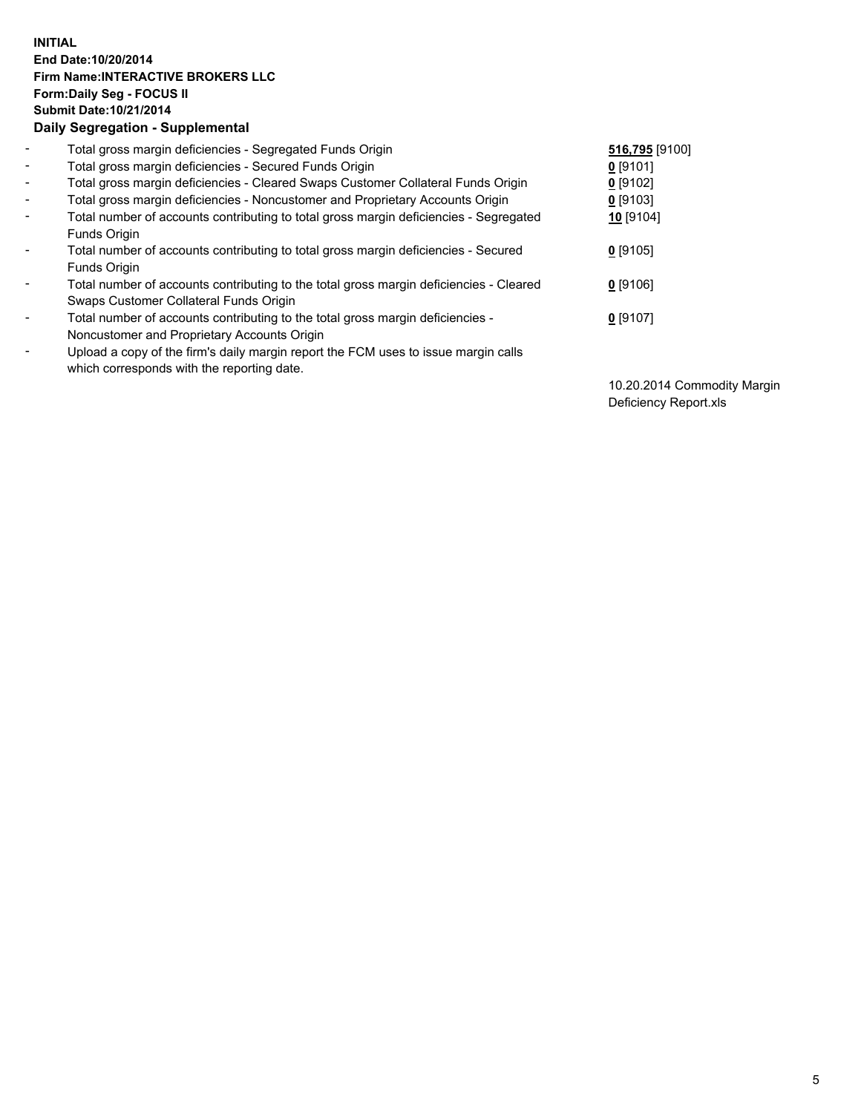## **INITIAL End Date:10/20/2014 Firm Name:INTERACTIVE BROKERS LLC Form:Daily Seg - FOCUS II Submit Date:10/21/2014 Daily Segregation - Supplemental**

| $\blacksquare$ | Total gross margin deficiencies - Segregated Funds Origin                              | 516,795 [9100] |
|----------------|----------------------------------------------------------------------------------------|----------------|
| $\blacksquare$ | Total gross margin deficiencies - Secured Funds Origin                                 | $0$ [9101]     |
| $\blacksquare$ | Total gross margin deficiencies - Cleared Swaps Customer Collateral Funds Origin       | $0$ [9102]     |
| $\blacksquare$ | Total gross margin deficiencies - Noncustomer and Proprietary Accounts Origin          | $0$ [9103]     |
| $\blacksquare$ | Total number of accounts contributing to total gross margin deficiencies - Segregated  | 10 [9104]      |
|                | Funds Origin                                                                           |                |
| $\blacksquare$ | Total number of accounts contributing to total gross margin deficiencies - Secured     | $0$ [9105]     |
|                | Funds Origin                                                                           |                |
| Ξ.             | Total number of accounts contributing to the total gross margin deficiencies - Cleared | $0$ [9106]     |
|                | Swaps Customer Collateral Funds Origin                                                 |                |
| -              | Total number of accounts contributing to the total gross margin deficiencies -         | $0$ [9107]     |
|                | Noncustomer and Proprietary Accounts Origin                                            |                |
| -              | Upload a copy of the firm's daily margin report the FCM uses to issue margin calls     |                |
|                | which corresponds with the reporting date.                                             |                |

10.20.2014 Commodity Margin Deficiency Report.xls